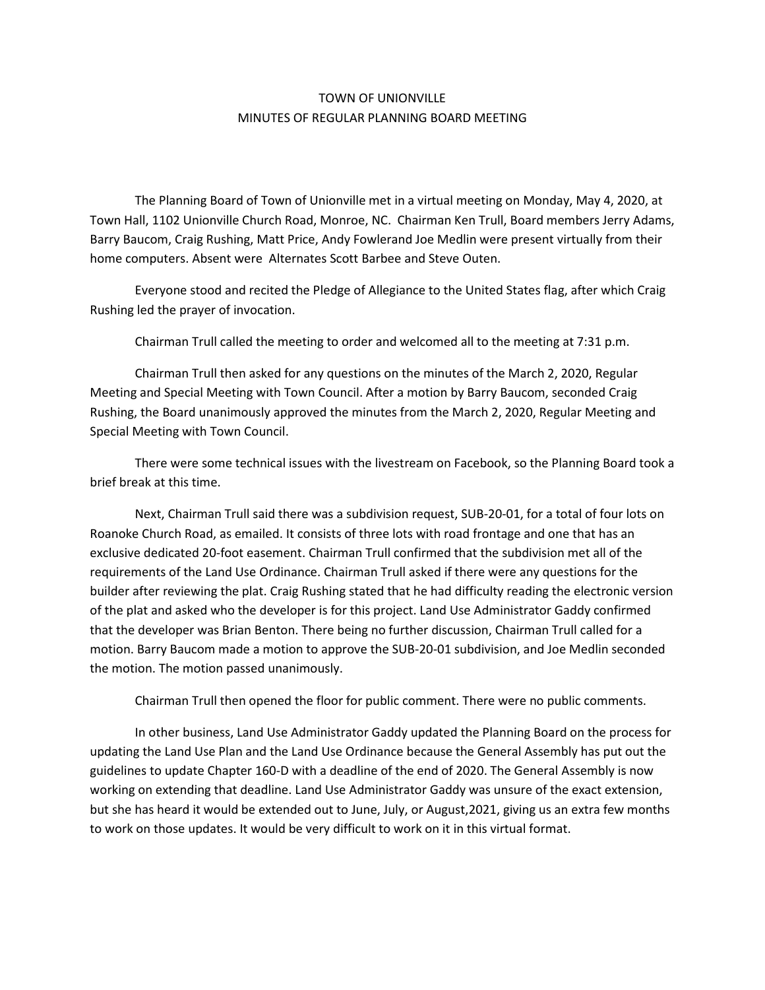## TOWN OF UNIONVILLE MINUTES OF REGULAR PLANNING BOARD MEETING

The Planning Board of Town of Unionville met in a virtual meeting on Monday, May 4, 2020, at Town Hall, 1102 Unionville Church Road, Monroe, NC. Chairman Ken Trull, Board members Jerry Adams, Barry Baucom, Craig Rushing, Matt Price, Andy Fowlerand Joe Medlin were present virtually from their home computers. Absent were Alternates Scott Barbee and Steve Outen.

Everyone stood and recited the Pledge of Allegiance to the United States flag, after which Craig Rushing led the prayer of invocation.

Chairman Trull called the meeting to order and welcomed all to the meeting at 7:31 p.m.

Chairman Trull then asked for any questions on the minutes of the March 2, 2020, Regular Meeting and Special Meeting with Town Council. After a motion by Barry Baucom, seconded Craig Rushing, the Board unanimously approved the minutes from the March 2, 2020, Regular Meeting and Special Meeting with Town Council.

There were some technical issues with the livestream on Facebook, so the Planning Board took a brief break at this time.

Next, Chairman Trull said there was a subdivision request, SUB-20-01, for a total of four lots on Roanoke Church Road, as emailed. It consists of three lots with road frontage and one that has an exclusive dedicated 20-foot easement. Chairman Trull confirmed that the subdivision met all of the requirements of the Land Use Ordinance. Chairman Trull asked if there were any questions for the builder after reviewing the plat. Craig Rushing stated that he had difficulty reading the electronic version of the plat and asked who the developer is for this project. Land Use Administrator Gaddy confirmed that the developer was Brian Benton. There being no further discussion, Chairman Trull called for a motion. Barry Baucom made a motion to approve the SUB-20-01 subdivision, and Joe Medlin seconded the motion. The motion passed unanimously.

Chairman Trull then opened the floor for public comment. There were no public comments.

In other business, Land Use Administrator Gaddy updated the Planning Board on the process for updating the Land Use Plan and the Land Use Ordinance because the General Assembly has put out the guidelines to update Chapter 160-D with a deadline of the end of 2020. The General Assembly is now working on extending that deadline. Land Use Administrator Gaddy was unsure of the exact extension, but she has heard it would be extended out to June, July, or August,2021, giving us an extra few months to work on those updates. It would be very difficult to work on it in this virtual format.